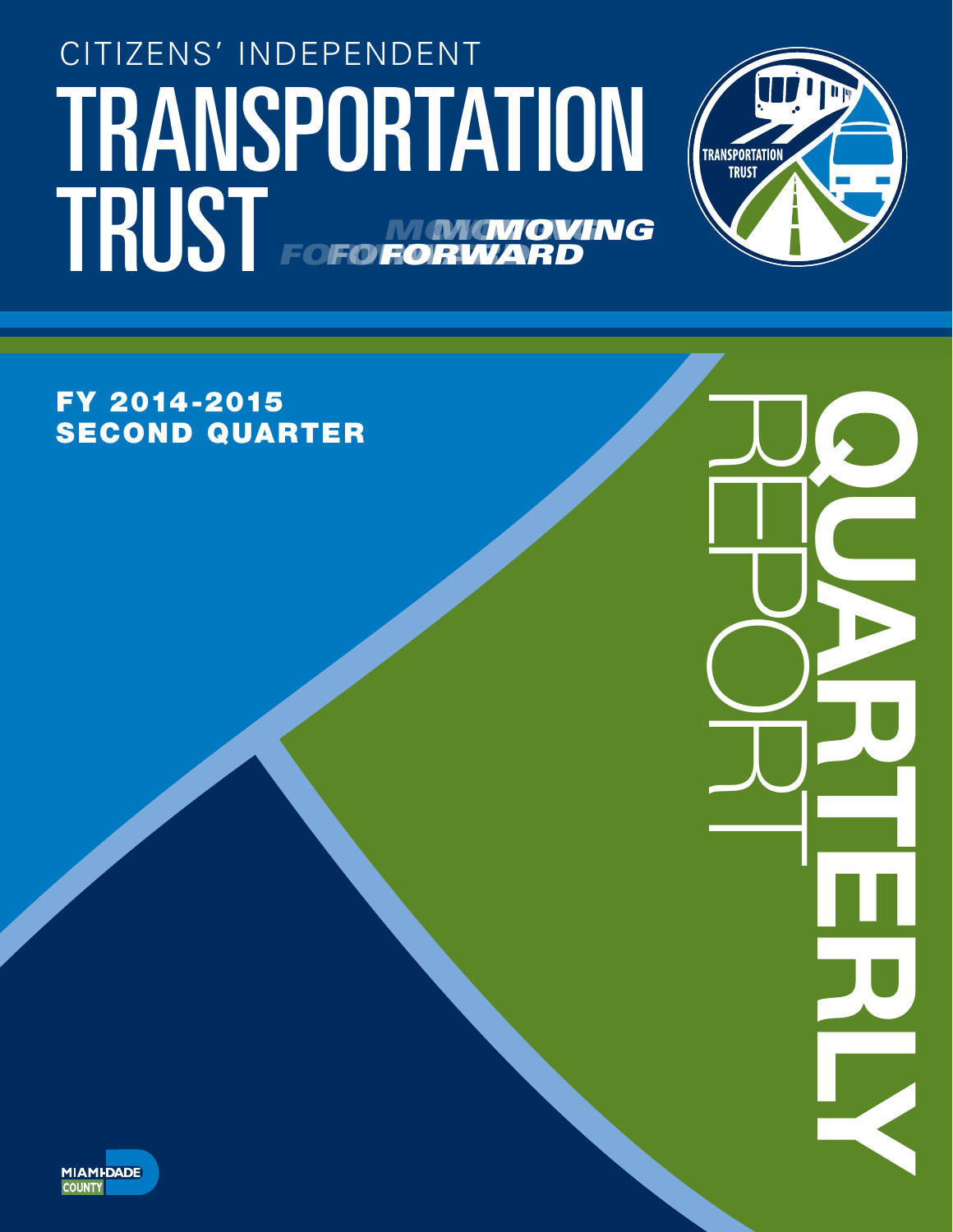# TRANSPORTATION (TRANSPORTATION CITIZENS' INDEPENDENT TRUST FOFO NONGNOVING *FORWARD MOVING* **FORWA** *MOVING* **FOFO FORV**



REPORT QUARTERLY

FY 2014-2015 SECOND QUARTER

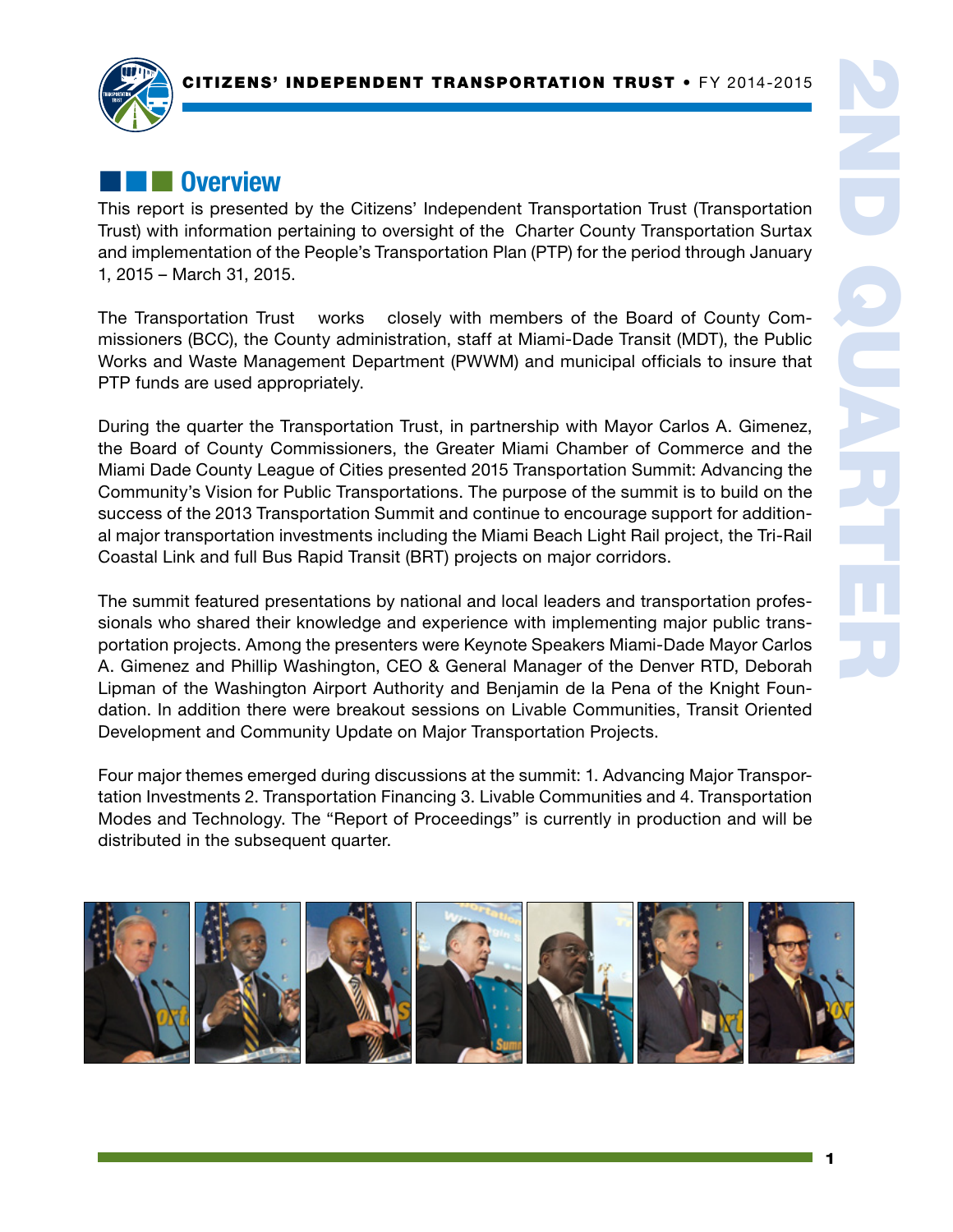

# **External Overview**

This report is presented by the Citizens' Independent Transportation Trust (Transportation Trust) with information pertaining to oversight of the Charter County Transportation Surtax and implementation of the People's Transportation Plan (PTP) for the period through January 1, 2015 – March 31, 2015.

The Transportation Trust works closely with members of the Board of County Commissioners (BCC), the County administration, staff at Miami-Dade Transit (MDT), the Public Works and Waste Management Department (PWWM) and municipal officials to insure that PTP funds are used appropriately.

During the quarter the Transportation Trust, in partnership with Mayor Carlos A. Gimenez, the Board of County Commissioners, the Greater Miami Chamber of Commerce and the Miami Dade County League of Cities presented 2015 Transportation Summit: Advancing the Community's Vision for Public Transportations. The purpose of the summit is to build on the success of the 2013 Transportation Summit and continue to encourage support for additional major transportation investments including the Miami Beach Light Rail project, the Tri-Rail Coastal Link and full Bus Rapid Transit (BRT) projects on major corridors.

The summit featured presentations by national and local leaders and transportation professionals who shared their knowledge and experience with implementing major public transportation projects. Among the presenters were Keynote Speakers Miami-Dade Mayor Carlos A. Gimenez and Phillip Washington, CEO & General Manager of the Denver RTD, Deborah Lipman of the Washington Airport Authority and Benjamin de la Pena of the Knight Foundation. In addition there were breakout sessions on Livable Communities, Transit Oriented Development and Community Update on Major Transportation Projects.

Four major themes emerged during discussions at the summit: 1. Advancing Major Transportation Investments 2. Transportation Financing 3. Livable Communities and 4. Transportation Modes and Technology. The "Report of Proceedings" is currently in production and will be distributed in the subsequent quarter.

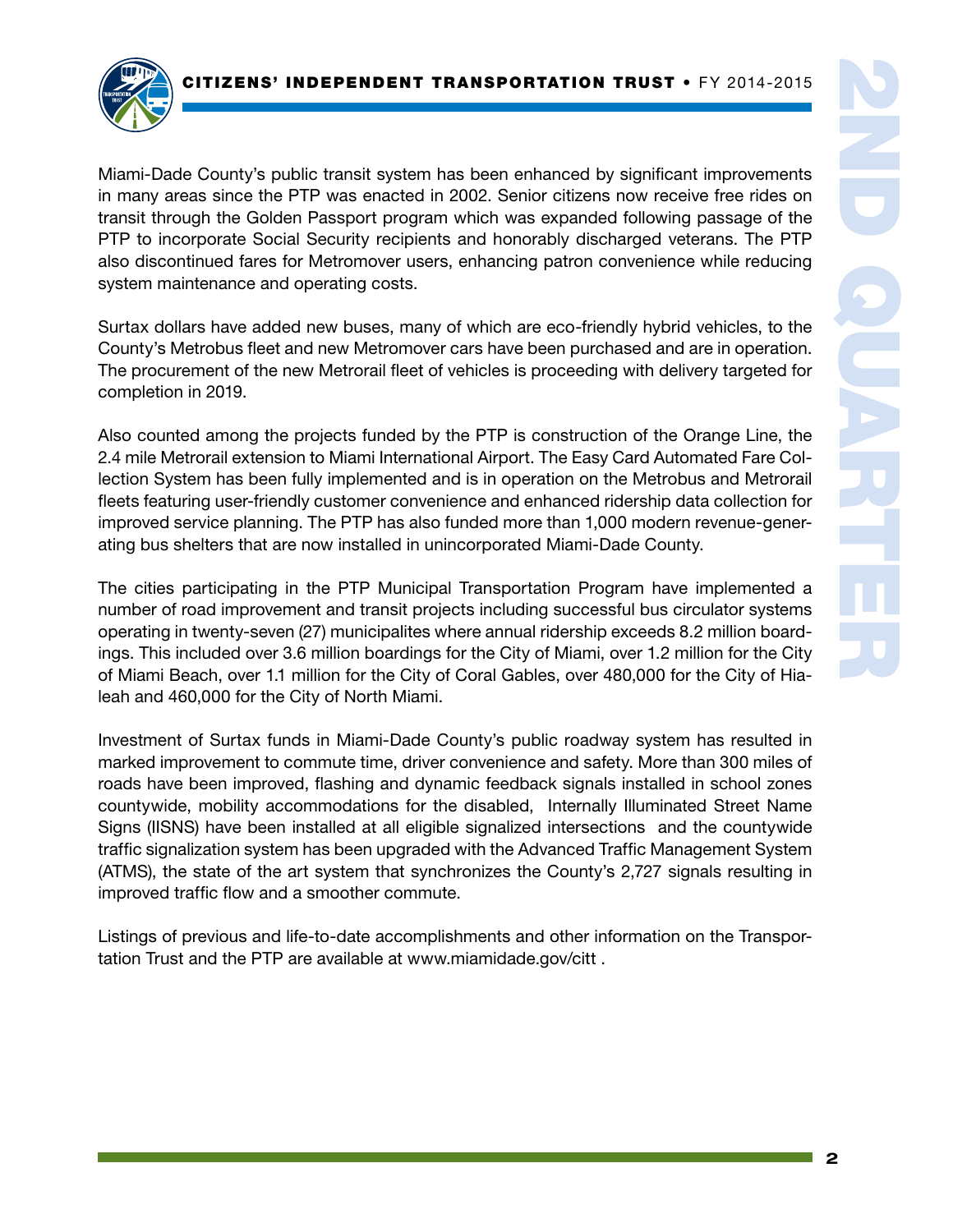

Miami-Dade County's public transit system has been enhanced by significant improvements in many areas since the PTP was enacted in 2002. Senior citizens now receive free rides on transit through the Golden Passport program which was expanded following passage of the PTP to incorporate Social Security recipients and honorably discharged veterans. The PTP also discontinued fares for Metromover users, enhancing patron convenience while reducing system maintenance and operating costs.

Surtax dollars have added new buses, many of which are eco-friendly hybrid vehicles, to the County's Metrobus fleet and new Metromover cars have been purchased and are in operation. The procurement of the new Metrorail fleet of vehicles is proceeding with delivery targeted for completion in 2019.

Also counted among the projects funded by the PTP is construction of the Orange Line, the 2.4 mile Metrorail extension to Miami International Airport. The Easy Card Automated Fare Collection System has been fully implemented and is in operation on the Metrobus and Metrorail fleets featuring user-friendly customer convenience and enhanced ridership data collection for improved service planning. The PTP has also funded more than 1,000 modern revenue-generating bus shelters that are now installed in unincorporated Miami-Dade County.

The cities participating in the PTP Municipal Transportation Program have implemented a number of road improvement and transit projects including successful bus circulator systems operating in twenty-seven (27) municipalites where annual ridership exceeds 8.2 million boardings. This included over 3.6 million boardings for the City of Miami, over 1.2 million for the City of Miami Beach, over 1.1 million for the City of Coral Gables, over 480,000 for the City of Hialeah and 460,000 for the City of North Miami.

Investment of Surtax funds in Miami-Dade County's public roadway system has resulted in marked improvement to commute time, driver convenience and safety. More than 300 miles of roads have been improved, flashing and dynamic feedback signals installed in school zones countywide, mobility accommodations for the disabled, Internally Illuminated Street Name Signs (IISNS) have been installed at all eligible signalized intersections and the countywide traffic signalization system has been upgraded with the Advanced Traffic Management System (ATMS), the state of the art system that synchronizes the County's 2,727 signals resulting in improved traffic flow and a smoother commute.

Listings of previous and life-to-date accomplishments and other information on the Transportation Trust and the PTP are available at www.miamidade.gov/citt .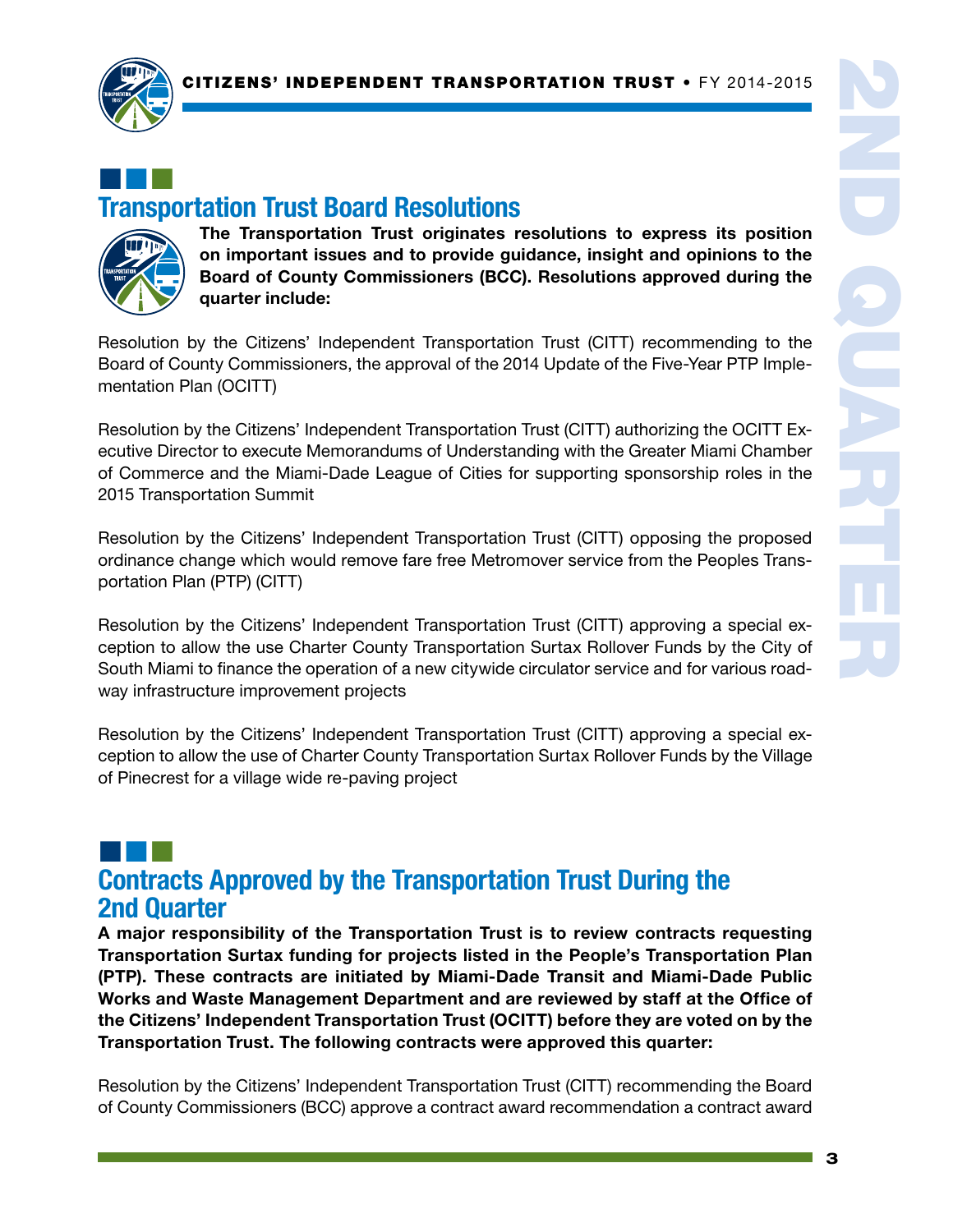

# ¢¢¢ Transportation Trust Board Resolutions



The Transportation Trust originates resolutions to express its position on important issues and to provide guidance, insight and opinions to the Board of County Commissioners (BCC). Resolutions approved during the quarter include:

Resolution by the Citizens' Independent Transportation Trust (CITT) recommending to the Board of County Commissioners, the approval of the 2014 Update of the Five-Year PTP Implementation Plan (OCITT)

Resolution by the Citizens' Independent Transportation Trust (CITT) authorizing the OCITT Executive Director to execute Memorandums of Understanding with the Greater Miami Chamber of Commerce and the Miami-Dade League of Cities for supporting sponsorship roles in the 2015 Transportation Summit

Resolution by the Citizens' Independent Transportation Trust (CITT) opposing the proposed ordinance change which would remove fare free Metromover service from the Peoples Transportation Plan (PTP) (CITT)

Resolution by the Citizens' Independent Transportation Trust (CITT) approving a special exception to allow the use Charter County Transportation Surtax Rollover Funds by the City of South Miami to finance the operation of a new citywide circulator service and for various roadway infrastructure improvement projects

Resolution by the Citizens' Independent Transportation Trust (CITT) approving a special exception to allow the use of Charter County Transportation Surtax Rollover Funds by the Village of Pinecrest for a village wide re-paving project

# ¢¢¢ Contracts Approved by the Transportation Trust During the 2nd Quarter

A major responsibility of the Transportation Trust is to review contracts requesting Transportation Surtax funding for projects listed in the People's Transportation Plan (PTP). These contracts are initiated by Miami-Dade Transit and Miami-Dade Public Works and Waste Management Department and are reviewed by staff at the Office of the Citizens' Independent Transportation Trust (OCITT) before they are voted on by the Transportation Trust. The following contracts were approved this quarter:

Resolution by the Citizens' Independent Transportation Trust (CITT) recommending the Board of County Commissioners (BCC) approve a contract award recommendation a contract award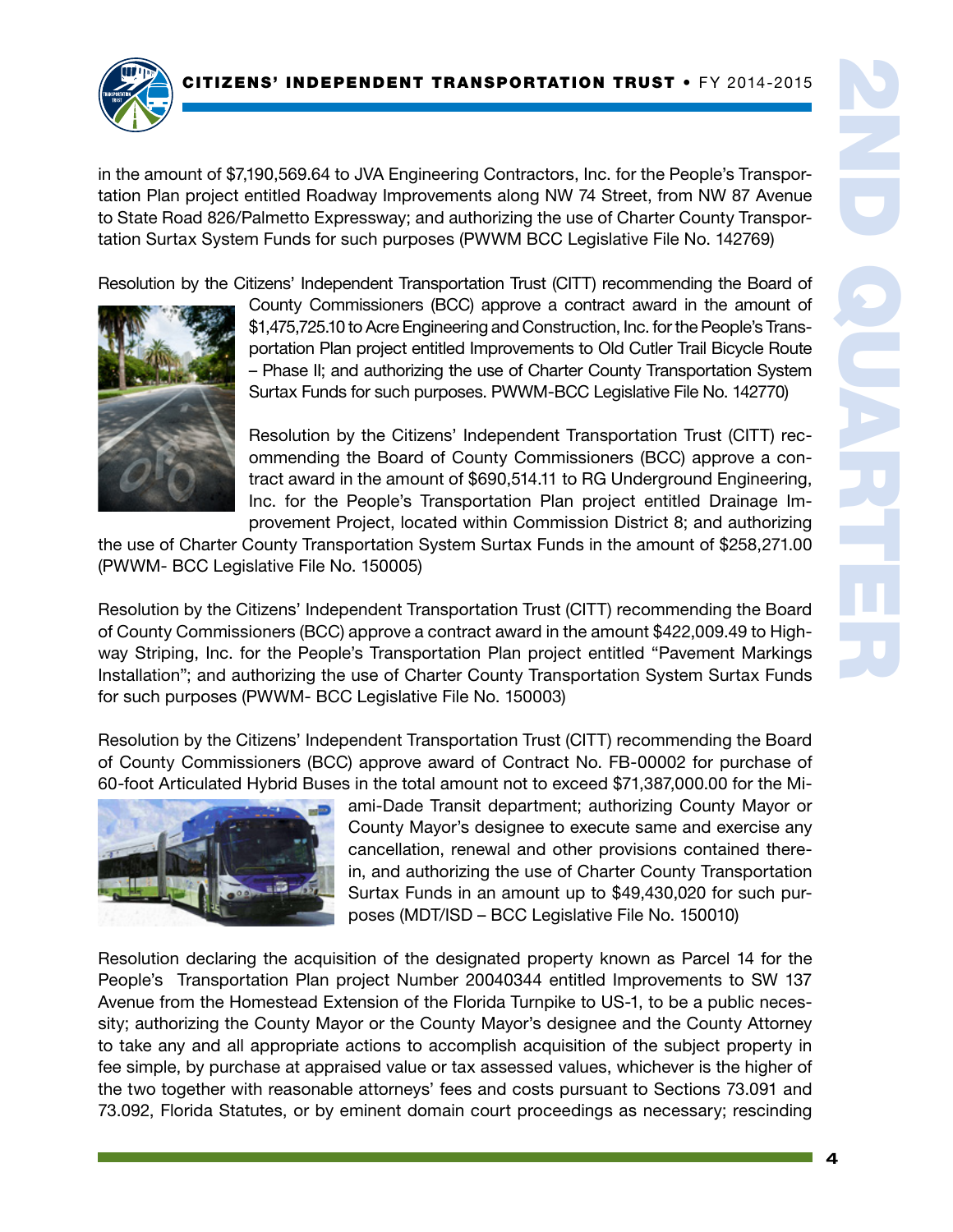

in the amount of \$7,190,569.64 to JVA Engineering Contractors, Inc. for the People's Transportation Plan project entitled Roadway Improvements along NW 74 Street, from NW 87 Avenue to State Road 826/Palmetto Expressway; and authorizing the use of Charter County Transportation Surtax System Funds for such purposes (PWWM BCC Legislative File No. 142769)

Resolution by the Citizens' Independent Transportation Trust (CITT) recommending the Board of



County Commissioners (BCC) approve a contract award in the amount of \$1,475,725.10 to Acre Engineering and Construction, Inc. for the People's Transportation Plan project entitled Improvements to Old Cutler Trail Bicycle Route – Phase II; and authorizing the use of Charter County Transportation System Surtax Funds for such purposes. PWWM-BCC Legislative File No. 142770)

Resolution by the Citizens' Independent Transportation Trust (CITT) recommending the Board of County Commissioners (BCC) approve a contract award in the amount of \$690,514.11 to RG Underground Engineering, Inc. for the People's Transportation Plan project entitled Drainage Improvement Project, located within Commission District 8; and authorizing

the use of Charter County Transportation System Surtax Funds in the amount of \$258,271.00 (PWWM- BCC Legislative File No. 150005)

Resolution by the Citizens' Independent Transportation Trust (CITT) recommending the Board of County Commissioners (BCC) approve a contract award in the amount \$422,009.49 to Highway Striping, Inc. for the People's Transportation Plan project entitled "Pavement Markings Installation"; and authorizing the use of Charter County Transportation System Surtax Funds for such purposes (PWWM- BCC Legislative File No. 150003)

Resolution by the Citizens' Independent Transportation Trust (CITT) recommending the Board of County Commissioners (BCC) approve award of Contract No. FB-00002 for purchase of 60-foot Articulated Hybrid Buses in the total amount not to exceed \$71,387,000.00 for the Mi-



ami-Dade Transit department; authorizing County Mayor or County Mayor's designee to execute same and exercise any cancellation, renewal and other provisions contained therein, and authorizing the use of Charter County Transportation Surtax Funds in an amount up to \$49,430,020 for such purposes (MDT/ISD – BCC Legislative File No. 150010)

Resolution declaring the acquisition of the designated property known as Parcel 14 for the People's Transportation Plan project Number 20040344 entitled Improvements to SW 137 Avenue from the Homestead Extension of the Florida Turnpike to US-1, to be a public necessity; authorizing the County Mayor or the County Mayor's designee and the County Attorney to take any and all appropriate actions to accomplish acquisition of the subject property in fee simple, by purchase at appraised value or tax assessed values, whichever is the higher of the two together with reasonable attorneys' fees and costs pursuant to Sections 73.091 and 73.092, Florida Statutes, or by eminent domain court proceedings as necessary; rescinding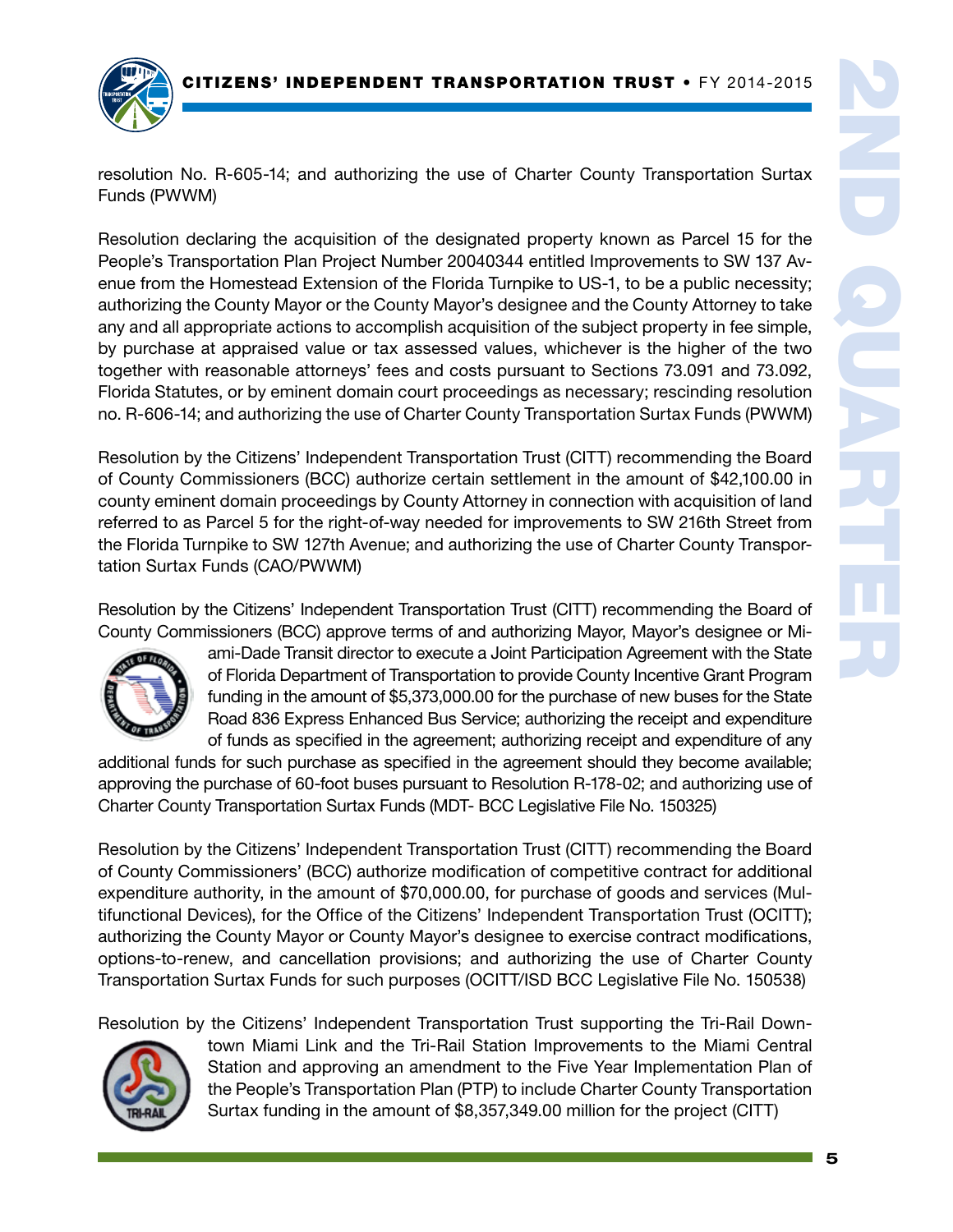

resolution No. R-605-14; and authorizing the use of Charter County Transportation Surtax Funds (PWWM)

Resolution declaring the acquisition of the designated property known as Parcel 15 for the People's Transportation Plan Project Number 20040344 entitled Improvements to SW 137 Avenue from the Homestead Extension of the Florida Turnpike to US-1, to be a public necessity; authorizing the County Mayor or the County Mayor's designee and the County Attorney to take any and all appropriate actions to accomplish acquisition of the subject property in fee simple, by purchase at appraised value or tax assessed values, whichever is the higher of the two together with reasonable attorneys' fees and costs pursuant to Sections 73.091 and 73.092, Florida Statutes, or by eminent domain court proceedings as necessary; rescinding resolution no. R-606-14; and authorizing the use of Charter County Transportation Surtax Funds (PWWM)

Resolution by the Citizens' Independent Transportation Trust (CITT) recommending the Board of County Commissioners (BCC) authorize certain settlement in the amount of \$42,100.00 in county eminent domain proceedings by County Attorney in connection with acquisition of land referred to as Parcel 5 for the right-of-way needed for improvements to SW 216th Street from the Florida Turnpike to SW 127th Avenue; and authorizing the use of Charter County Transportation Surtax Funds (CAO/PWWM)

Resolution by the Citizens' Independent Transportation Trust (CITT) recommending the Board of County Commissioners (BCC) approve terms of and authorizing Mayor, Mayor's designee or Mi-



ami-Dade Transit director to execute a Joint Participation Agreement with the State of Florida Department of Transportation to provide County Incentive Grant Program funding in the amount of \$5,373,000.00 for the purchase of new buses for the State Road 836 Express Enhanced Bus Service; authorizing the receipt and expenditure of funds as specified in the agreement; authorizing receipt and expenditure of any

additional funds for such purchase as specified in the agreement should they become available; approving the purchase of 60-foot buses pursuant to Resolution R-178-02; and authorizing use of Charter County Transportation Surtax Funds (MDT- BCC Legislative File No. 150325)

Resolution by the Citizens' Independent Transportation Trust (CITT) recommending the Board of County Commissioners' (BCC) authorize modification of competitive contract for additional expenditure authority, in the amount of \$70,000.00, for purchase of goods and services (Multifunctional Devices), for the Office of the Citizens' Independent Transportation Trust (OCITT); authorizing the County Mayor or County Mayor's designee to exercise contract modifications, options-to-renew, and cancellation provisions; and authorizing the use of Charter County Transportation Surtax Funds for such purposes (OCITT/ISD BCC Legislative File No. 150538)

Resolution by the Citizens' Independent Transportation Trust supporting the Tri-Rail Down-



town Miami Link and the Tri-Rail Station Improvements to the Miami Central Station and approving an amendment to the Five Year Implementation Plan of the People's Transportation Plan (PTP) to include Charter County Transportation Surtax funding in the amount of \$8,357,349.00 million for the project (CITT)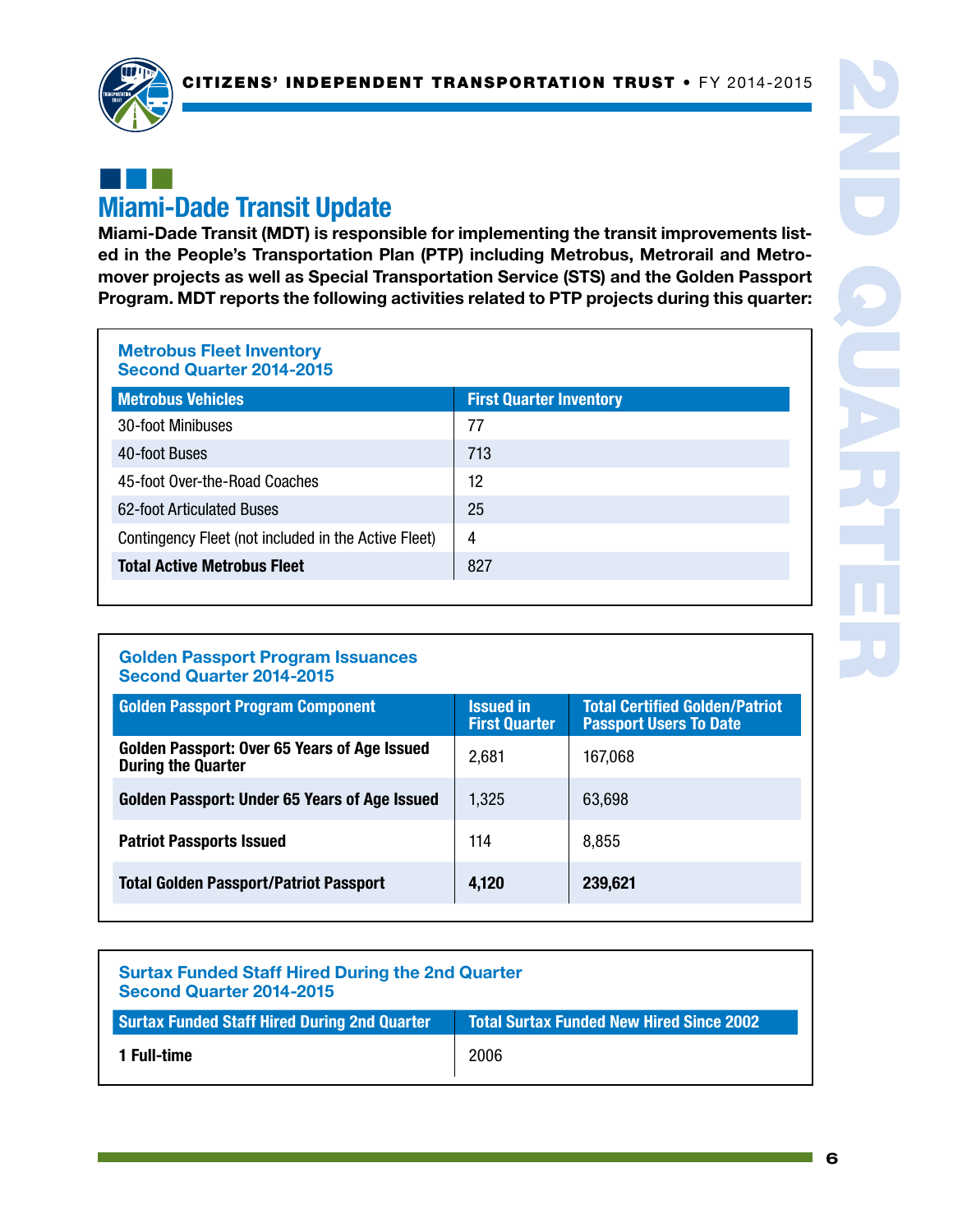

# ¢¢¢ Miami-Dade Transit Update

Miami-Dade Transit (MDT) is responsible for implementing the transit improvements listed in the People's Transportation Plan (PTP) including Metrobus, Metrorail and Metromover projects as well as Special Transportation Service (STS) and the Golden Passport Program. MDT reports the following activities related to PTP projects during this quarter:

### Metrobus Fleet Inventory Second Quarter 2014-2015

| <b>Metrobus Vehicles</b>                             | <b>First Quarter Inventory</b> |
|------------------------------------------------------|--------------------------------|
| 30-foot Minibuses                                    | 77                             |
| 40-foot Buses                                        | 713                            |
| 45-foot Over-the-Road Coaches                        | 12                             |
| 62-foot Articulated Buses                            | 25                             |
| Contingency Fleet (not included in the Active Fleet) | 4                              |
| <b>Total Active Metrobus Fleet</b>                   | 827                            |

### Golden Passport Program Issuances Second Quarter 2014-2015

| <b>Golden Passport Program Component</b>                                  | <b>Issued in</b><br><b>First Quarter</b> | <b>Total Certified Golden/Patriot</b><br><b>Passport Users To Date</b> |
|---------------------------------------------------------------------------|------------------------------------------|------------------------------------------------------------------------|
| Golden Passport: Over 65 Years of Age Issued<br><b>During the Quarter</b> | 2,681                                    | 167,068                                                                |
| Golden Passport: Under 65 Years of Age Issued                             | 1,325                                    | 63,698                                                                 |
| <b>Patriot Passports Issued</b>                                           | 114                                      | 8,855                                                                  |
| <b>Total Golden Passport/Patriot Passport</b>                             | 4,120                                    | 239,621                                                                |

| <b>Surtax Funded Staff Hired During the 2nd Quarter</b><br>Second Quarter 2014-2015 |                                                 |  |
|-------------------------------------------------------------------------------------|-------------------------------------------------|--|
| <b>Surtax Funded Staff Hired During 2nd Quarter</b>                                 | <b>Total Surtax Funded New Hired Since 2002</b> |  |
| 1 Full-time                                                                         | 2006                                            |  |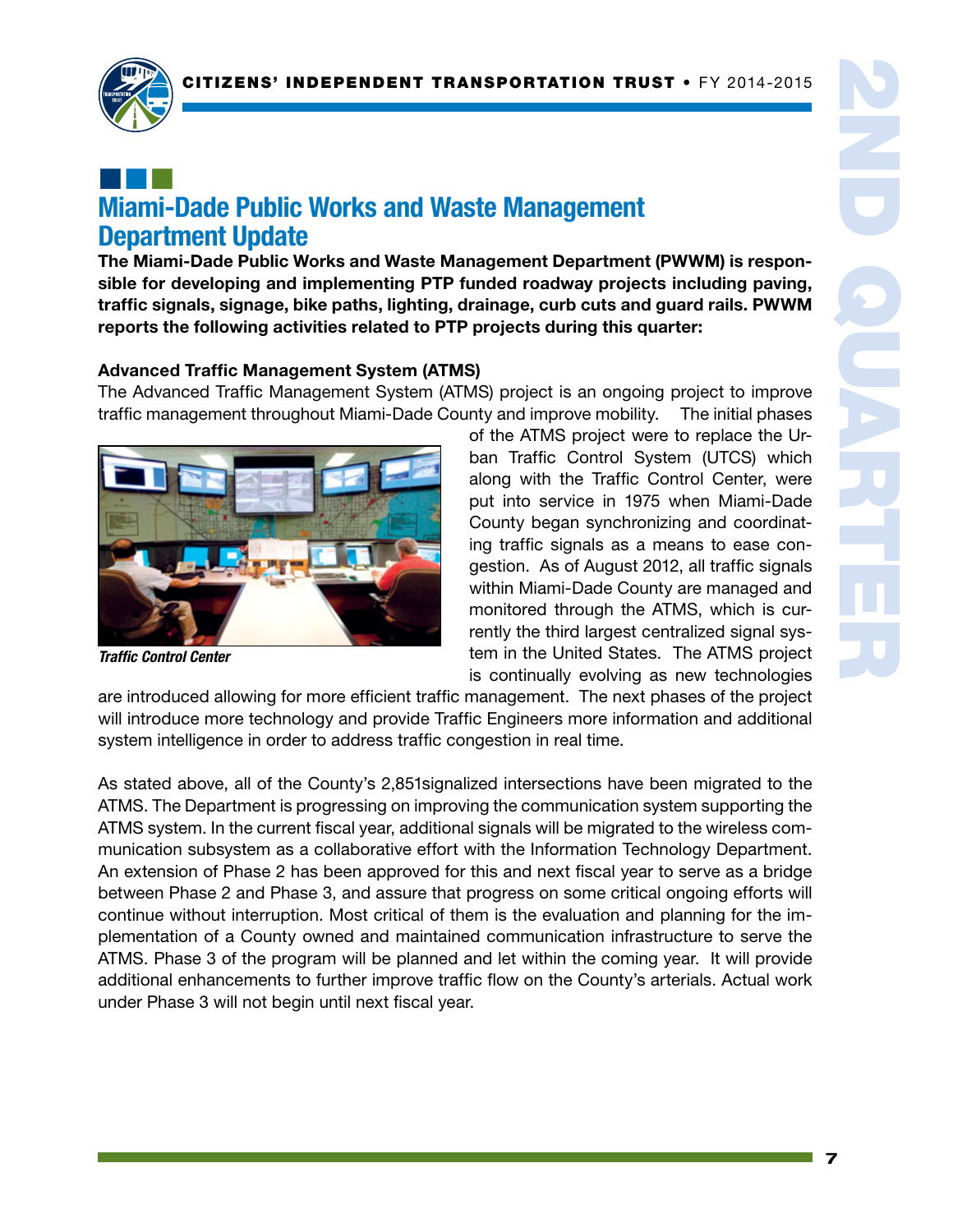

# ¢¢¢ Miami-Dade Public Works and Waste Management Department Update

The Miami-Dade Public Works and Waste Management Department (PWWM) is responsible for developing and implementing PTP funded roadway projects including paving, traffic signals, signage, bike paths, lighting, drainage, curb cuts and guard rails. PWWM reports the following activities related to PTP projects during this quarter:

### Advanced Traffic Management System (ATMS)

The Advanced Traffic Management System (ATMS) project is an ongoing project to improve traffic management throughout Miami-Dade County and improve mobility. The initial phases



*Traffic Control Center*

of the ATMS project were to replace the Urban Traffic Control System (UTCS) which along with the Traffic Control Center, were put into service in 1975 when Miami-Dade County began synchronizing and coordinating traffic signals as a means to ease congestion. As of August 2012, all traffic signals within Miami-Dade County are managed and monitored through the ATMS, which is currently the third largest centralized signal system in the United States. The ATMS project is continually evolving as new technologies

are introduced allowing for more efficient traffic management. The next phases of the project will introduce more technology and provide Traffic Engineers more information and additional system intelligence in order to address traffic congestion in real time.

As stated above, all of the County's 2,851signalized intersections have been migrated to the ATMS. The Department is progressing on improving the communication system supporting the ATMS system. In the current fiscal year, additional signals will be migrated to the wireless communication subsystem as a collaborative effort with the Information Technology Department. An extension of Phase 2 has been approved for this and next fiscal year to serve as a bridge between Phase 2 and Phase 3, and assure that progress on some critical ongoing efforts will continue without interruption. Most critical of them is the evaluation and planning for the implementation of a County owned and maintained communication infrastructure to serve the ATMS. Phase 3 of the program will be planned and let within the coming year. It will provide additional enhancements to further improve traffic flow on the County's arterials. Actual work under Phase 3 will not begin until next fiscal year.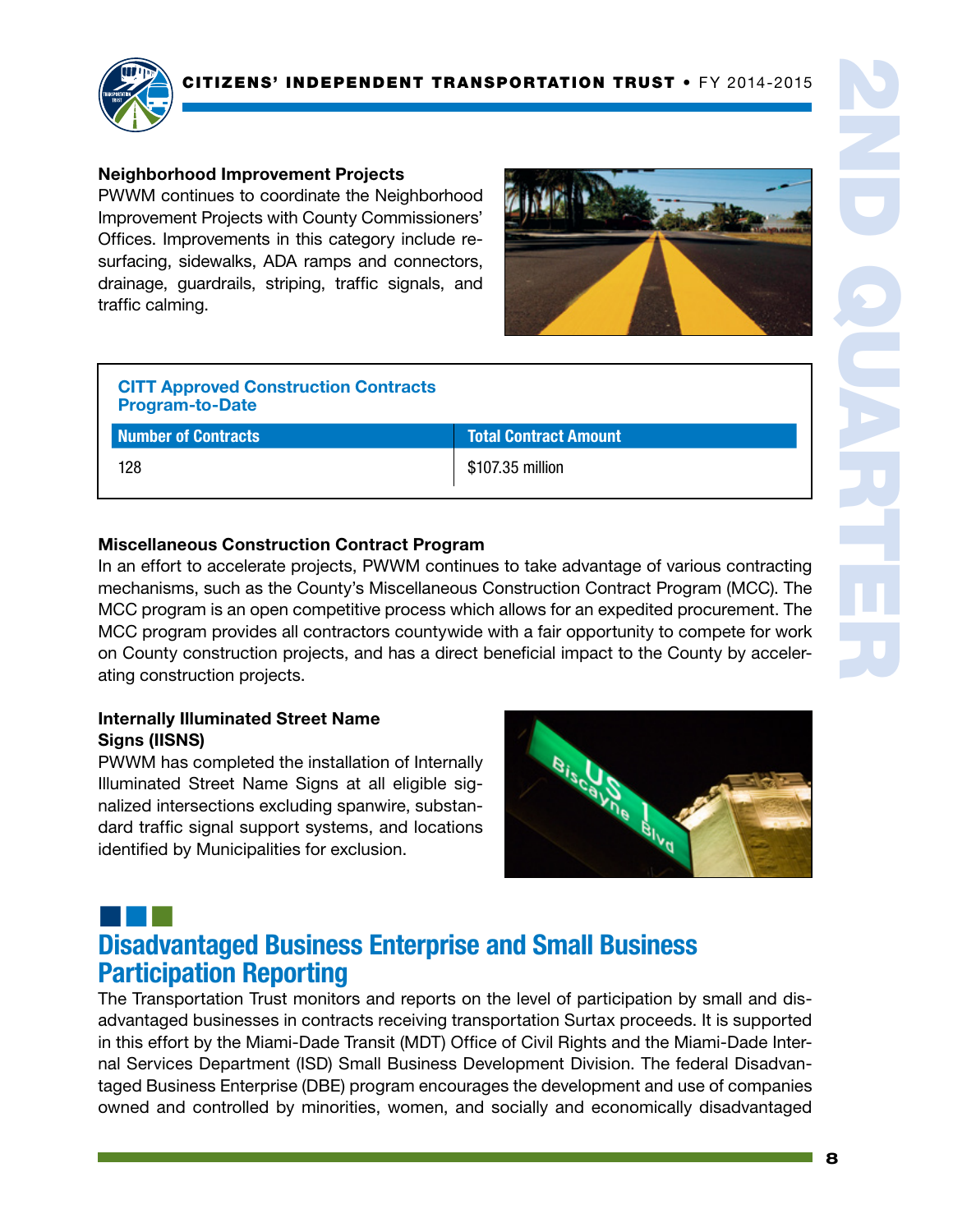

### Neighborhood Improvement Projects

PWWM continues to coordinate the Neighborhood Improvement Projects with County Commissioners' Offices. Improvements in this category include resurfacing, sidewalks, ADA ramps and connectors, drainage, guardrails, striping, traffic signals, and traffic calming.



| <b>CITT Approved Construction Contracts</b><br><b>Program-to-Date</b> |                              |
|-----------------------------------------------------------------------|------------------------------|
| Number of Contracts                                                   | <b>Total Contract Amount</b> |
| 128                                                                   | \$107.35 million             |

# 2ND QUARTER

### Miscellaneous Construction Contract Program

In an effort to accelerate projects, PWWM continues to take advantage of various contracting mechanisms, such as the County's Miscellaneous Construction Contract Program (MCC). The MCC program is an open competitive process which allows for an expedited procurement. The MCC program provides all contractors countywide with a fair opportunity to compete for work on County construction projects, and has a direct beneficial impact to the County by accelerating construction projects.

### Internally Illuminated Street Name Signs (IISNS)

PWWM has completed the installation of Internally Illuminated Street Name Signs at all eligible signalized intersections excluding spanwire, substandard traffic signal support systems, and locations identified by Municipalities for exclusion.



# ¢¢¢ Disadvantaged Business Enterprise and Small Business Participation Reporting

The Transportation Trust monitors and reports on the level of participation by small and disadvantaged businesses in contracts receiving transportation Surtax proceeds. It is supported in this effort by the Miami-Dade Transit (MDT) Office of Civil Rights and the Miami-Dade Internal Services Department (ISD) Small Business Development Division. The federal Disadvantaged Business Enterprise (DBE) program encourages the development and use of companies owned and controlled by minorities, women, and socially and economically disadvantaged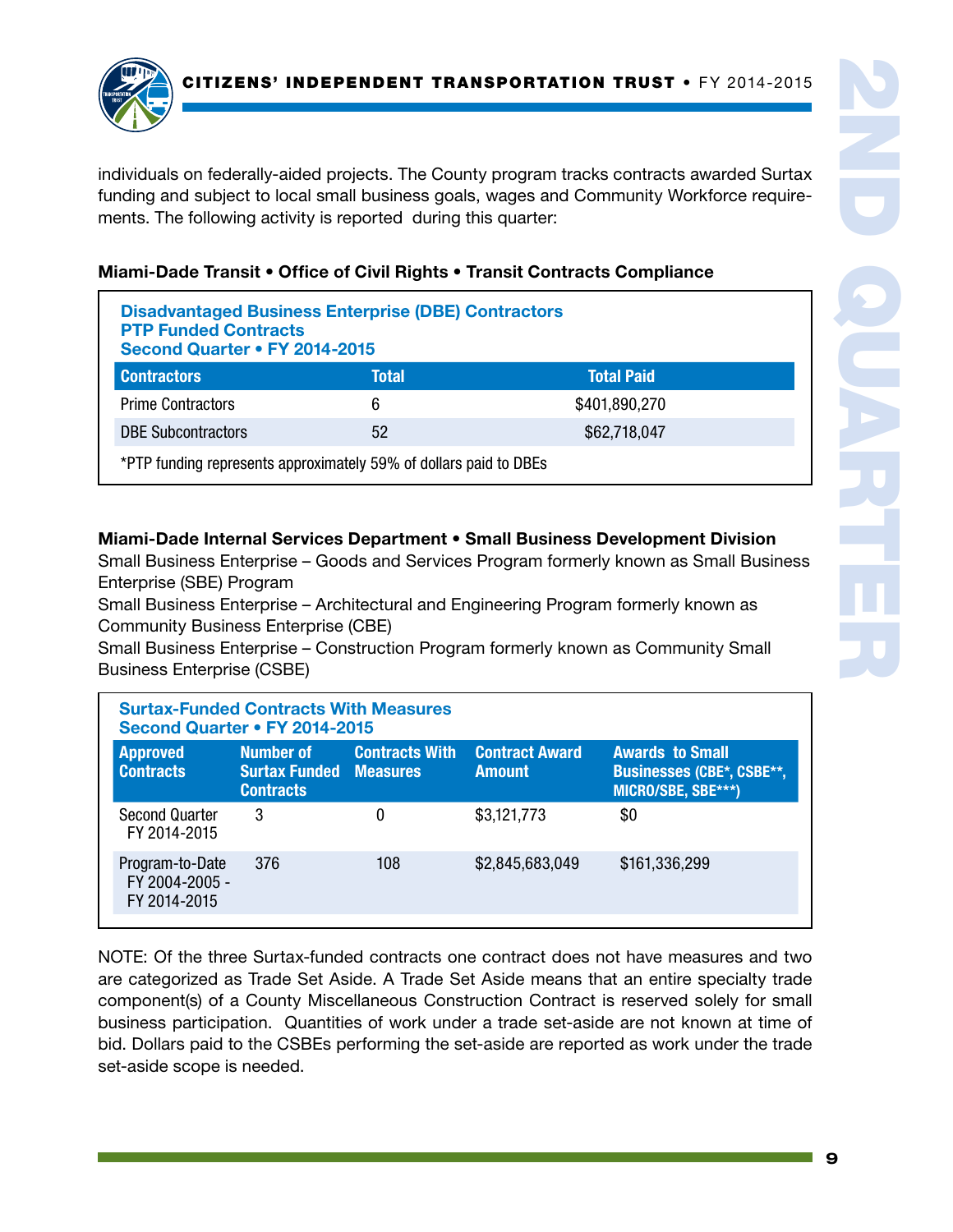individuals on federally-aided projects. The County program tracks contracts awarded Surtax funding and subject to local small business goals, wages and Community Workforce requirements. The following activity is reported during this quarter:

### Miami-Dade Transit • Office of Civil Rights • Transit Contracts Compliance

| <b>Disadvantaged Business Enterprise (DBE) Contractors</b><br><b>PTP Funded Contracts</b><br>Second Quarter • FY 2014-2015 |       |                   |
|----------------------------------------------------------------------------------------------------------------------------|-------|-------------------|
| <b>Contractors</b>                                                                                                         | Total | <b>Total Paid</b> |
| <b>Prime Contractors</b>                                                                                                   | 6     | \$401,890,270     |
| <b>DBE Subcontractors</b>                                                                                                  | 52    | \$62,718,047      |
| *PTP funding represents approximately 59% of dollars paid to DBEs                                                          |       |                   |

### Miami-Dade Internal Services Department • Small Business Development Division

Small Business Enterprise – Goods and Services Program formerly known as Small Business Enterprise (SBE) Program

Small Business Enterprise – Architectural and Engineering Program formerly known as Community Business Enterprise (CBE)

Small Business Enterprise – Construction Program formerly known as Community Small Business Enterprise (CSBE)

| <b>Surtax-Funded Contracts With Measures</b><br>Second Quarter • FY 2014-2015 |                                                                |                       |                                        |                                                                                  |
|-------------------------------------------------------------------------------|----------------------------------------------------------------|-----------------------|----------------------------------------|----------------------------------------------------------------------------------|
| <b>Approved</b><br><b>Contracts</b>                                           | Number of<br><b>Surtax Funded Measures</b><br><b>Contracts</b> | <b>Contracts With</b> | <b>Contract Award</b><br><b>Amount</b> | <b>Awards to Small</b><br><b>Businesses (CBE*, CSBE**,</b><br>MICRO/SBE, SBE***) |
| <b>Second Quarter</b><br>FY 2014-2015                                         | 3                                                              | 0                     | \$3,121,773                            | \$0                                                                              |
| Program-to-Date<br>FY 2004-2005 -<br>FY 2014-2015                             | 376                                                            | 108                   | \$2,845,683,049                        | \$161,336,299                                                                    |

NOTE: Of the three Surtax-funded contracts one contract does not have measures and two are categorized as Trade Set Aside. A Trade Set Aside means that an entire specialty trade component(s) of a County Miscellaneous Construction Contract is reserved solely for small business participation. Quantities of work under a trade set-aside are not known at time of bid. Dollars paid to the CSBEs performing the set-aside are reported as work under the trade set-aside scope is needed.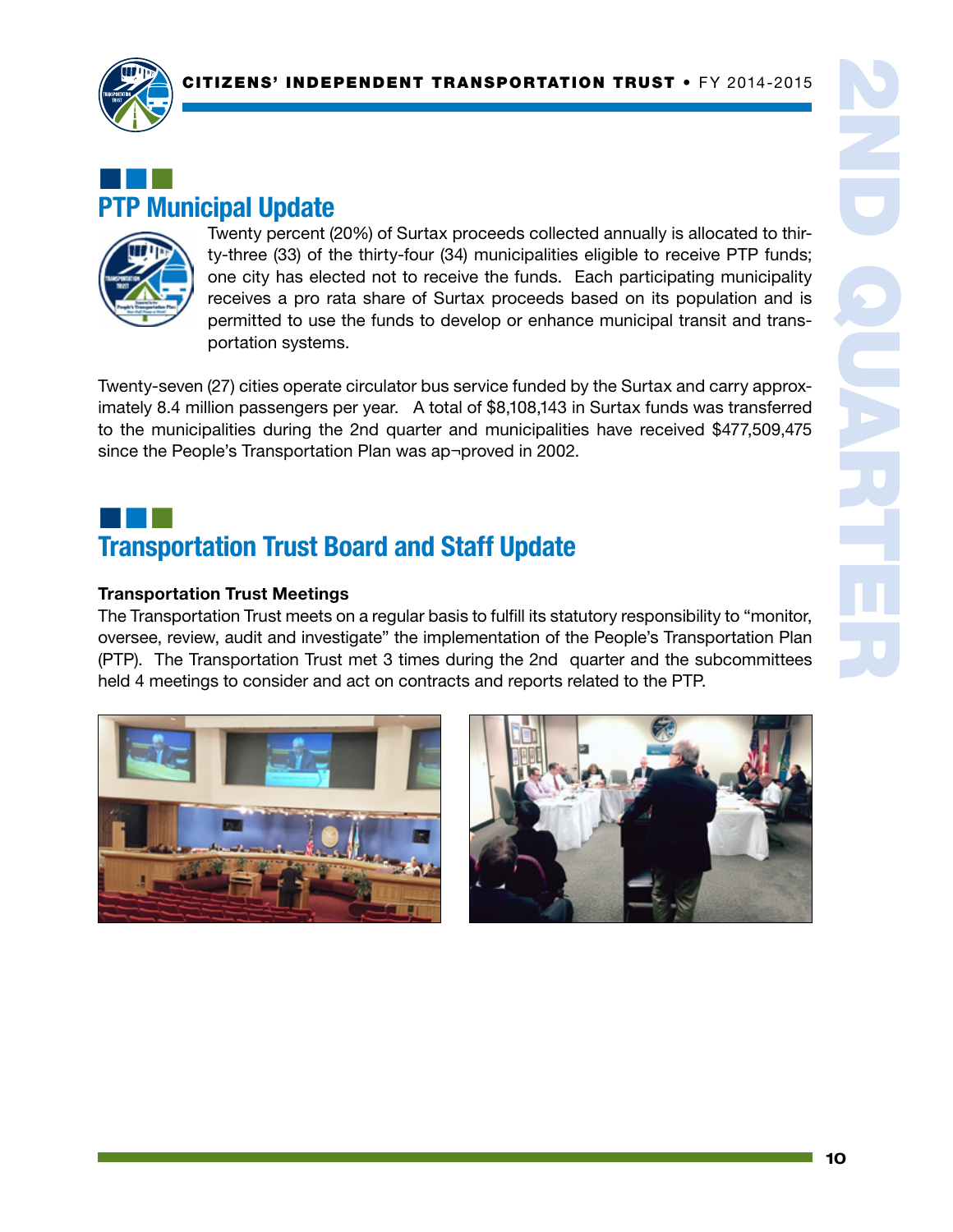

# ¢¢¢ PTP Municipal Update



Twenty percent (20%) of Surtax proceeds collected annually is allocated to thirty-three (33) of the thirty-four (34) municipalities eligible to receive PTP funds; one city has elected not to receive the funds. Each participating municipality receives a pro rata share of Surtax proceeds based on its population and is permitted to use the funds to develop or enhance municipal transit and transportation systems.

Twenty-seven (27) cities operate circulator bus service funded by the Surtax and carry approximately 8.4 million passengers per year. A total of \$8,108,143 in Surtax funds was transferred to the municipalities during the 2nd quarter and municipalities have received \$477,509,475 since the People's Transportation Plan was ap¬proved in 2002.

# ¢¢¢ Transportation Trust Board and Staff Update

### Transportation Trust Meetings

The Transportation Trust meets on a regular basis to fulfill its statutory responsibility to "monitor, oversee, review, audit and investigate" the implementation of the People's Transportation Plan (PTP). The Transportation Trust met 3 times during the 2nd quarter and the subcommittees held 4 meetings to consider and act on contracts and reports related to the PTP.



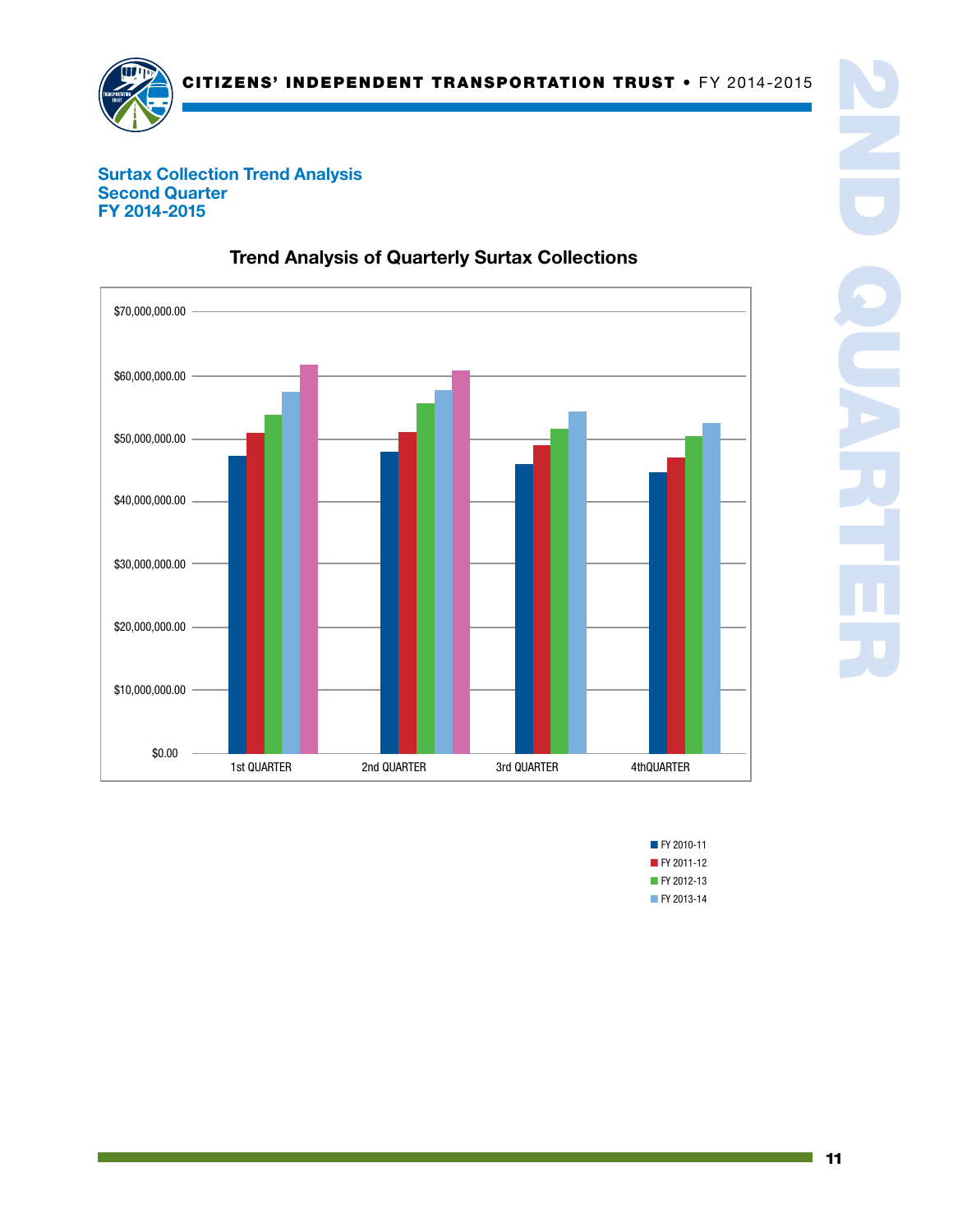

### Surtax Collection Trend Analysis Second Quarter FY 2014-2015



## Trend Analysis of Quarterly Surtax Collections

■ FY 2010-11 ■ FY 2011-12 ■ FY 2012-13 ■ FY 2013-14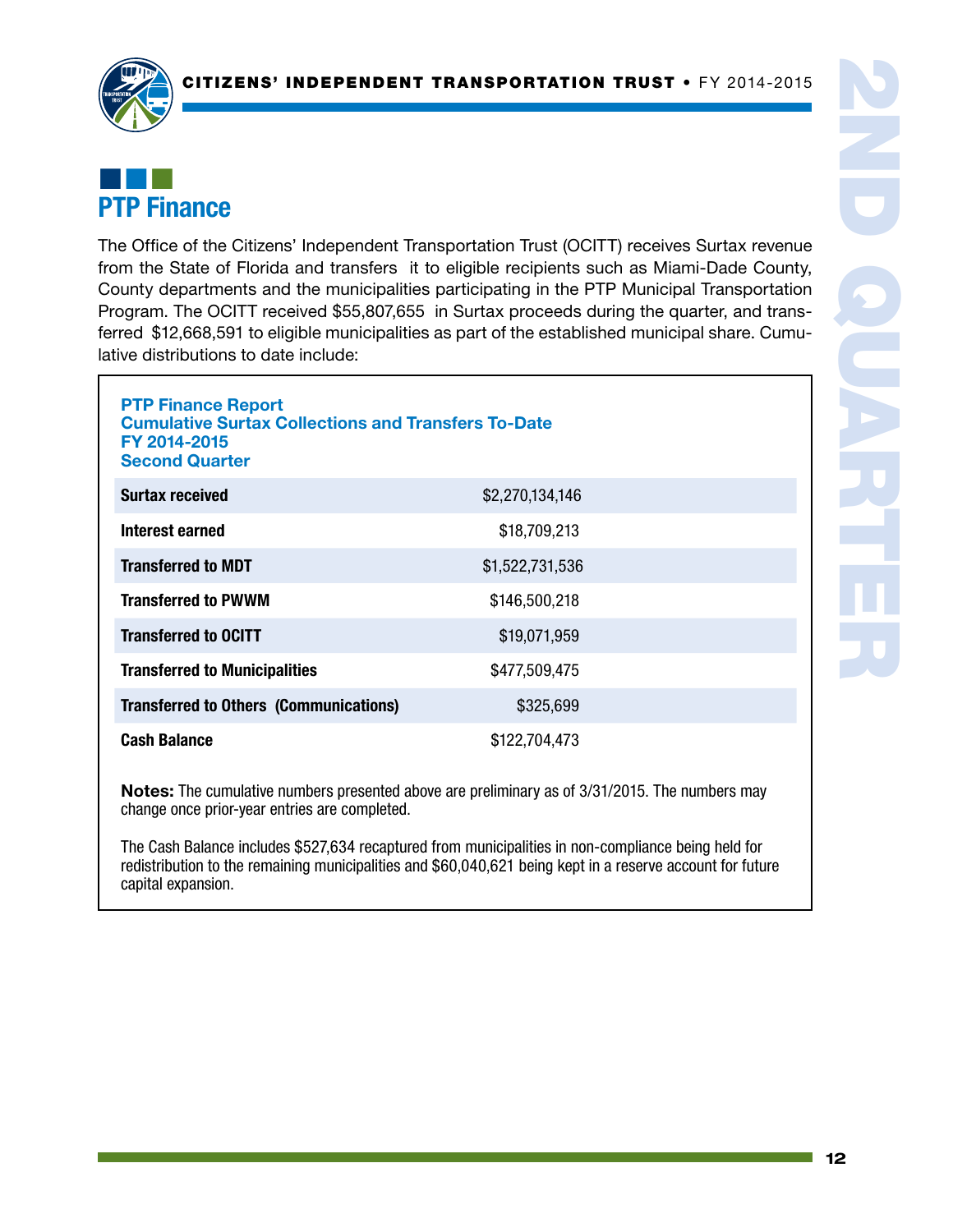

# ¢¢¢ PTP Finance

The Office of the Citizens' Independent Transportation Trust (OCITT) receives Surtax revenue from the State of Florida and transfers it to eligible recipients such as Miami-Dade County, County departments and the municipalities participating in the PTP Municipal Transportation Program. The OCITT received \$55,807,655 in Surtax proceeds during the quarter, and transferred \$12,668,591 to eligible municipalities as part of the established municipal share. Cumulative distributions to date include:

| <b>PTP Finance Report</b><br><b>Cumulative Surtax Collections and Transfers To-Date</b><br>FY 2014-2015<br><b>Second Quarter</b> |                 |  |  |
|----------------------------------------------------------------------------------------------------------------------------------|-----------------|--|--|
| <b>Surtax received</b>                                                                                                           | \$2,270,134,146 |  |  |
| Interest earned                                                                                                                  | \$18,709,213    |  |  |
| <b>Transferred to MDT</b>                                                                                                        | \$1,522,731,536 |  |  |
| <b>Transferred to PWWM</b>                                                                                                       | \$146,500,218   |  |  |
| <b>Transferred to OCITT</b>                                                                                                      | \$19,071,959    |  |  |
| \$477,509,475<br><b>Transferred to Municipalities</b>                                                                            |                 |  |  |
| <b>Transferred to Others (Communications)</b><br>\$325,699                                                                       |                 |  |  |
| <b>Cash Balance</b><br>\$122,704,473                                                                                             |                 |  |  |

Notes: The cumulative numbers presented above are preliminary as of 3/31/2015. The numbers may change once prior-year entries are completed.

The Cash Balance includes \$527,634 recaptured from municipalities in non-compliance being held for redistribution to the remaining municipalities and \$60,040,621 being kept in a reserve account for future capital expansion.